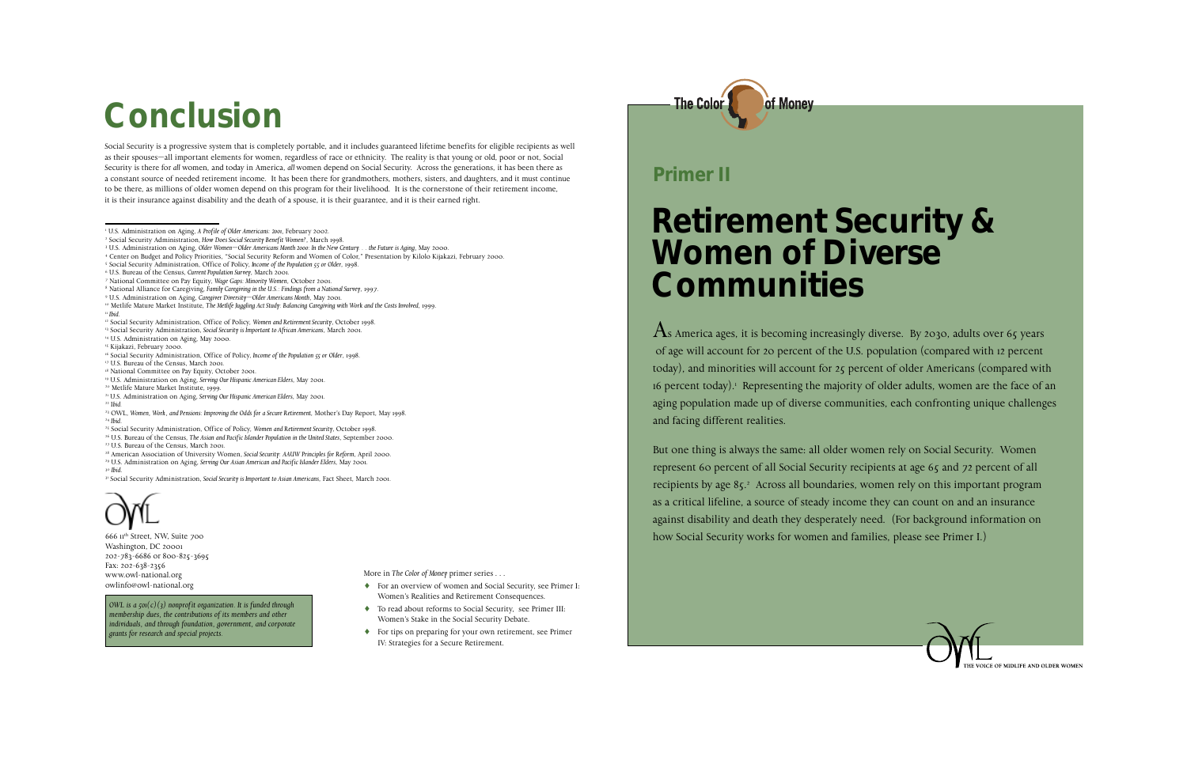#### **Retirement Security & Women of Diverse Communities**

 $\overline{A}$ s America ages, it is becoming increasingly diverse. By 2030, adults over 65 years of age will account for 20 percent of the U.S. population (compared with 12 percent today), and minorities will account for 25 percent of older Americans (compared with 16 percent today).<sup>1</sup> Representing the majority of older adults, women are the face of an aging population made up of diverse communities, each confronting unique challenges and facing different realities.

But one thing is always the same: all older women rely on Social Security. Women represent 60 percent of all Social Security recipients at age 65 and 72 percent of all recipients by age 85.<sup>2</sup> Across all boundaries, women rely on this important program as a critical lifeline, a source of steady income they can count on and an insurance against disability and death they desperately need. (For background information on how Social Security works for women and families, please see Primer I.)



#### **Primer II**

666 11th Street, NW, Suite 700 Washington, DC 20001 202-783-6686 or 800-825-3695 Fax: 202-638-2356 www.owl-national.org owlinfo@owl-national.org

*OWL is a 501(c)(3) nonprofit organization. It is funded through membership dues, the contributions of its members and other individuals, and through foundation, government, and corporate grants for research and special projects.*

More in *The Color of Money* primer series . . .

- ♦ For an overview of women and Social Security, see Primer I: Women's Realities and Retirement Consequences.
- ♦ To read about reforms to Social Security, see Primer III: Women's Stake in the Social Security Debate.
- ♦ For tips on preparing for your own retirement, see Primer IV: Strategies for a Secure Retirement.



# **Conclusion**

Social Security is a progressive system that is completely portable, and it includes guaranteed lifetime benefits for eligible recipients as well as their spouses—all important elements for women, regardless of race or ethnicity. The reality is that young or old, poor or not, Social Security is there for *all* women, and today in America, *all* women depend on Social Security. Across the generations, it has been there as a constant source of needed retirement income. It has been there for grandmothers, mothers, sisters, and daughters, and it must continue to be there, as millions of older women depend on this program for their livelihood. It is the cornerstone of their retirement income, it is their insurance against disability and the death of a spouse, it is their guarantee, and it is their earned right.

- 4 Center on Budget and Policy Priorities, "Social Security Reform and Women of Color," Presentation by Kilolo Kijakazi, February 2000.
- 5 Social Security Administration, Office of Policy, *Income of the Population 55 or Older*, 1998.

- 
- 9 U.S. Administration on Aging, *Caregiver Diversity—Older Americans Month*, May 2001.
- <sup>10</sup> Metlife Mature Market Institute, *The Metlife Juggling Act Study: Balancing Caregiving with Work and the Costs Involved, 1999.* <sup>11</sup> *Ibid*.
- 12 Social Security Administration, Office of Policy, *Women and Retirement Security*, October 1998.
- <sup>13</sup> Social Security Administration, *Social Security is Important to African Americans*, March 2001.
- 14 U.S. Administration on Aging, May 2000.
- 15 Kijakazi, February 2000.
- 16 Social Security Administration, Office of Policy, *Income of the Population 55 or Older*, 1998.
- 17 U.S. Bureau of the Census, March 2001.
- <sup>18</sup> National Committee on Pay Equity, October 2001.
- 19 U.S. Administration on Aging, *Serving Our Hispanic American Elders*, May 2001.
- 20 Metlife Mature Market Institute, 1999.
- <sup>21</sup> U.S. Administration on Aging, *Serving Our Hispanic American Elders*, May 2001. 22 I*bid.*
- <sup>23</sup> OWL, *Women, Work, and Pensions: Improving the Odds for a Secure Retirement*, Mother's Day Report, May 1998. <sup>24</sup> *Ibid*.
- 25 Social Security Administration, Office of Policy, *Women and Retirement Security*, October 1998.
- <sup>26</sup> U.S. Bureau of the Census, *The Asian and Pacific Islander Population in the United States*, September 2000.
- 27 U.S. Bureau of the Census, March 2001.
- <sup>28</sup> American Association of University Women, *Social Security: AAUW Principles for Reform*, April 2000. 29 U.S. Administration on Aging, *Serving Our Asian American and Pacific Islander Elders*, May 2001.
- <sup>30</sup> *Ibid*.

<sup>&</sup>lt;sup>31</sup> Social Security Administration, *Social Security is Important to Asian Americans*, Fact Sheet, March 2001.



<sup>1</sup> U.S. Administration on Aging, *A Profile of Older Americans: 2001,* February 2002.

<sup>2</sup> Social Security Administration, *How Does Social Security Benefit Women?*, March 1998.

<sup>3</sup> U.S. Administration on Aging, *Older Women—Older Americans Month 2000: In the New Century. . . the Future is Aging,* May 2000.

<sup>6</sup> U.S. Bureau of the Census, *Current Population Survey*, March 2001.

<sup>7</sup> National Committee on Pay Equity, *Wage Gaps: Minority Women*, October 2001.

<sup>8</sup> National Alliance for Caregiving, *Family Caregiving in the U.S.: Findings from a National Survey*, 1997.